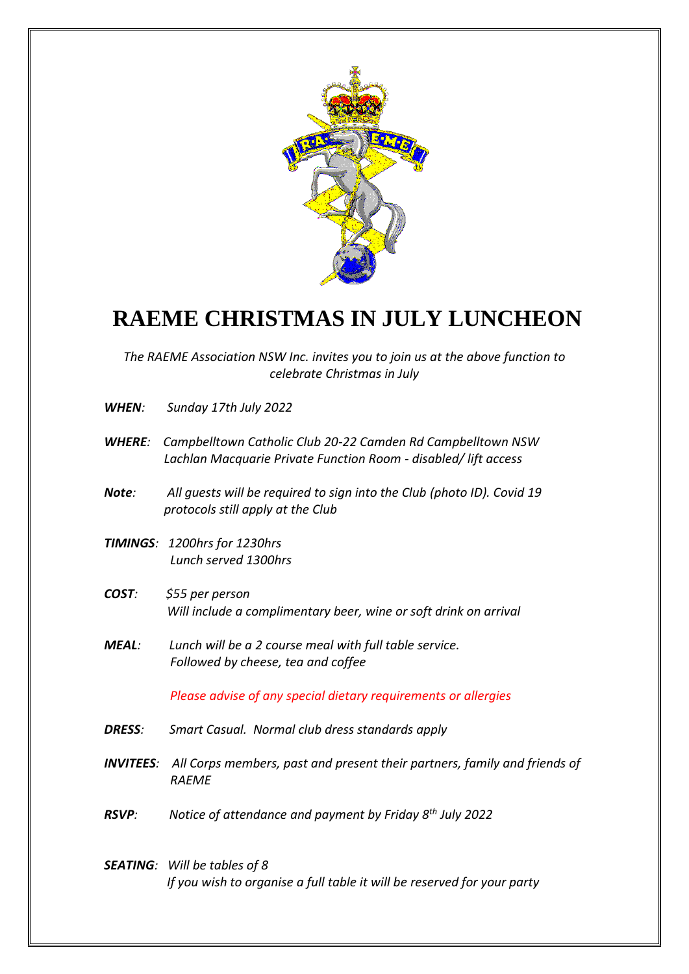

## **RAEME CHRISTMAS IN JULY LUNCHEON**

*The RAEME Association NSW Inc. invites you to join us at the above function to celebrate Christmas in July*

- *WHEN: Sunday 17th July 2022*
- *WHERE: Campbelltown Catholic Club 20-22 Camden Rd Campbelltown NSW Lachlan Macquarie Private Function Room - disabled/ lift access*
- *Note: All guests will be required to sign into the Club (photo ID). Covid 19 protocols still apply at the Club*
- *TIMINGS: 1200hrs for 1230hrs Lunch served 1300hrs*
- *COST: \$55 per person Will include a complimentary beer, wine or soft drink on arrival*
- *MEAL: Lunch will be a 2 course meal with full table service. Followed by cheese, tea and coffee*

 *Please advise of any special dietary requirements or allergies*

- *DRESS: Smart Casual. Normal club dress standards apply*
- *INVITEES: All Corps members, past and present their partners, family and friends of RAEME*
- *RSVP: Notice of attendance and payment by Friday 8th July 2022*
- *SEATING: Will be tables of 8 If you wish to organise a full table it will be reserved for your party*